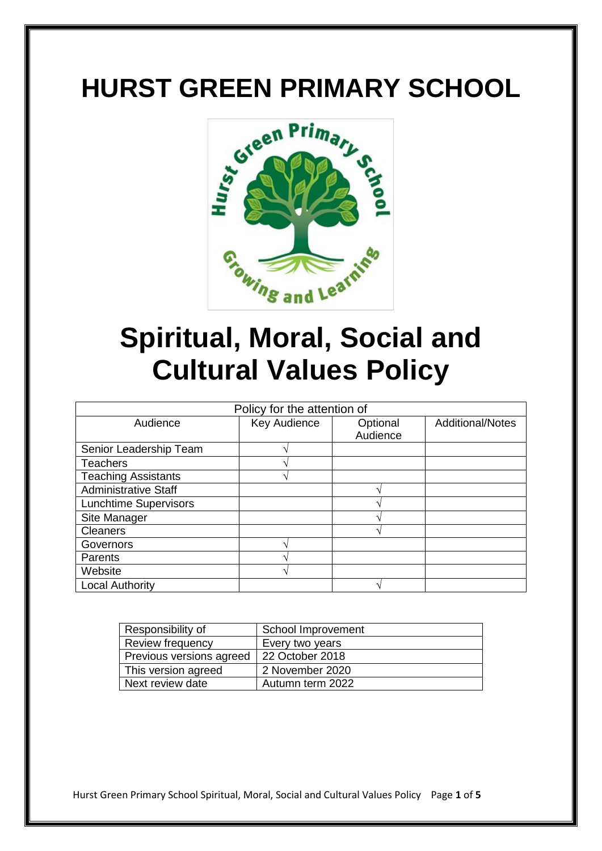# **HURST GREEN PRIMARY SCHOOL**



# **Spiritual, Moral, Social and Cultural Values Policy**

| Policy for the attention of  |              |          |                         |
|------------------------------|--------------|----------|-------------------------|
| Audience                     | Key Audience | Optional | <b>Additional/Notes</b> |
|                              |              | Audience |                         |
| Senior Leadership Team       |              |          |                         |
| <b>Teachers</b>              |              |          |                         |
| <b>Teaching Assistants</b>   |              |          |                         |
| <b>Administrative Staff</b>  |              |          |                         |
| <b>Lunchtime Supervisors</b> |              |          |                         |
| Site Manager                 |              |          |                         |
| <b>Cleaners</b>              |              |          |                         |
| Governors                    |              |          |                         |
| Parents                      |              |          |                         |
| Website                      |              |          |                         |
| <b>Local Authority</b>       |              |          |                         |

| Responsibility of        | School Improvement |
|--------------------------|--------------------|
| Review frequency         | Every two years    |
| Previous versions agreed | 22 October 2018    |
| This version agreed      | 2 November 2020    |
| Next review date         | Autumn term 2022   |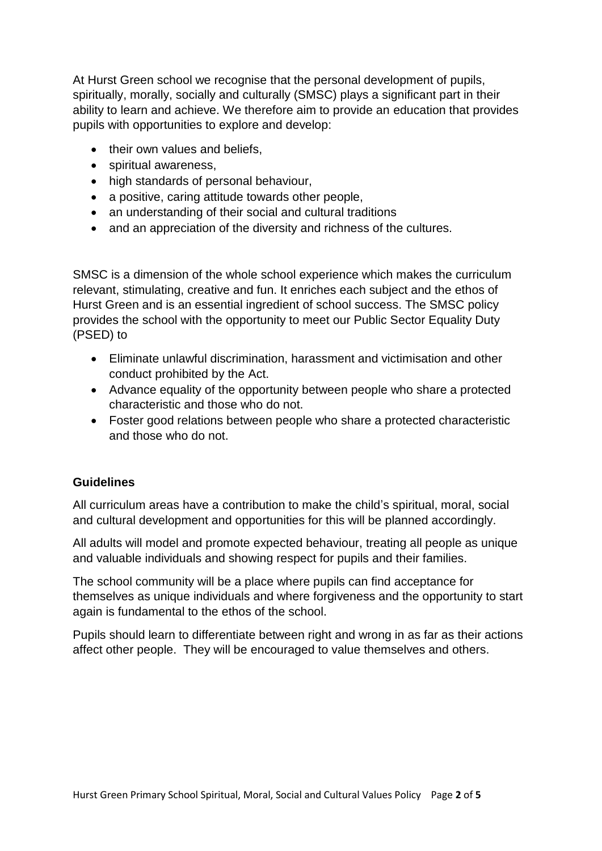At Hurst Green school we recognise that the personal development of pupils, spiritually, morally, socially and culturally (SMSC) plays a significant part in their ability to learn and achieve. We therefore aim to provide an education that provides pupils with opportunities to explore and develop:

- their own values and beliefs,
- spiritual awareness.
- high standards of personal behaviour,
- a positive, caring attitude towards other people,
- an understanding of their social and cultural traditions
- and an appreciation of the diversity and richness of the cultures.

SMSC is a dimension of the whole school experience which makes the curriculum relevant, stimulating, creative and fun. It enriches each subject and the ethos of Hurst Green and is an essential ingredient of school success. The SMSC policy provides the school with the opportunity to meet our Public Sector Equality Duty (PSED) to

- Eliminate unlawful discrimination, harassment and victimisation and other conduct prohibited by the Act.
- Advance equality of the opportunity between people who share a protected characteristic and those who do not.
- Foster good relations between people who share a protected characteristic and those who do not.

#### **Guidelines**

All curriculum areas have a contribution to make the child's spiritual, moral, social and cultural development and opportunities for this will be planned accordingly.

All adults will model and promote expected behaviour, treating all people as unique and valuable individuals and showing respect for pupils and their families.

The school community will be a place where pupils can find acceptance for themselves as unique individuals and where forgiveness and the opportunity to start again is fundamental to the ethos of the school.

Pupils should learn to differentiate between right and wrong in as far as their actions affect other people. They will be encouraged to value themselves and others.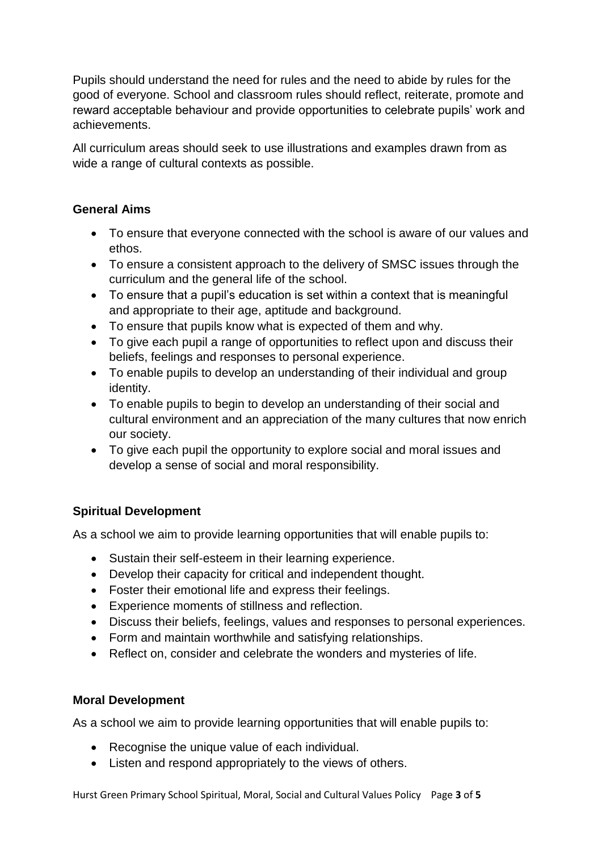Pupils should understand the need for rules and the need to abide by rules for the good of everyone. School and classroom rules should reflect, reiterate, promote and reward acceptable behaviour and provide opportunities to celebrate pupils' work and achievements.

All curriculum areas should seek to use illustrations and examples drawn from as wide a range of cultural contexts as possible.

### **General Aims**

- To ensure that everyone connected with the school is aware of our values and ethos.
- To ensure a consistent approach to the delivery of SMSC issues through the curriculum and the general life of the school.
- To ensure that a pupil's education is set within a context that is meaningful and appropriate to their age, aptitude and background.
- To ensure that pupils know what is expected of them and why.
- To give each pupil a range of opportunities to reflect upon and discuss their beliefs, feelings and responses to personal experience.
- To enable pupils to develop an understanding of their individual and group identity.
- To enable pupils to begin to develop an understanding of their social and cultural environment and an appreciation of the many cultures that now enrich our society.
- To give each pupil the opportunity to explore social and moral issues and develop a sense of social and moral responsibility.

# **Spiritual Development**

As a school we aim to provide learning opportunities that will enable pupils to:

- Sustain their self-esteem in their learning experience.
- Develop their capacity for critical and independent thought.
- Foster their emotional life and express their feelings.
- Experience moments of stillness and reflection.
- Discuss their beliefs, feelings, values and responses to personal experiences.
- Form and maintain worthwhile and satisfying relationships.
- Reflect on, consider and celebrate the wonders and mysteries of life.

#### **Moral Development**

As a school we aim to provide learning opportunities that will enable pupils to:

- Recognise the unique value of each individual.
- Listen and respond appropriately to the views of others.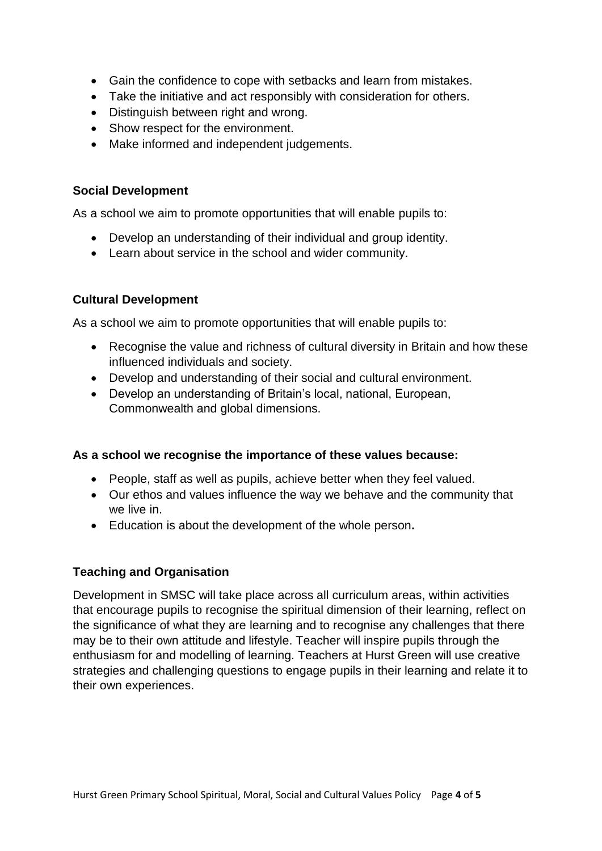- Gain the confidence to cope with setbacks and learn from mistakes.
- Take the initiative and act responsibly with consideration for others.
- Distinguish between right and wrong.
- Show respect for the environment.
- Make informed and independent judgements.

#### **Social Development**

As a school we aim to promote opportunities that will enable pupils to:

- Develop an understanding of their individual and group identity.
- Learn about service in the school and wider community.

#### **Cultural Development**

As a school we aim to promote opportunities that will enable pupils to:

- Recognise the value and richness of cultural diversity in Britain and how these influenced individuals and society.
- Develop and understanding of their social and cultural environment.
- Develop an understanding of Britain's local, national, European, Commonwealth and global dimensions.

# **As a school we recognise the importance of these values because:**

- People, staff as well as pupils, achieve better when they feel valued.
- Our ethos and values influence the way we behave and the community that we live in.
- Education is about the development of the whole person**.**

# **Teaching and Organisation**

Development in SMSC will take place across all curriculum areas, within activities that encourage pupils to recognise the spiritual dimension of their learning, reflect on the significance of what they are learning and to recognise any challenges that there may be to their own attitude and lifestyle. Teacher will inspire pupils through the enthusiasm for and modelling of learning. Teachers at Hurst Green will use creative strategies and challenging questions to engage pupils in their learning and relate it to their own experiences.